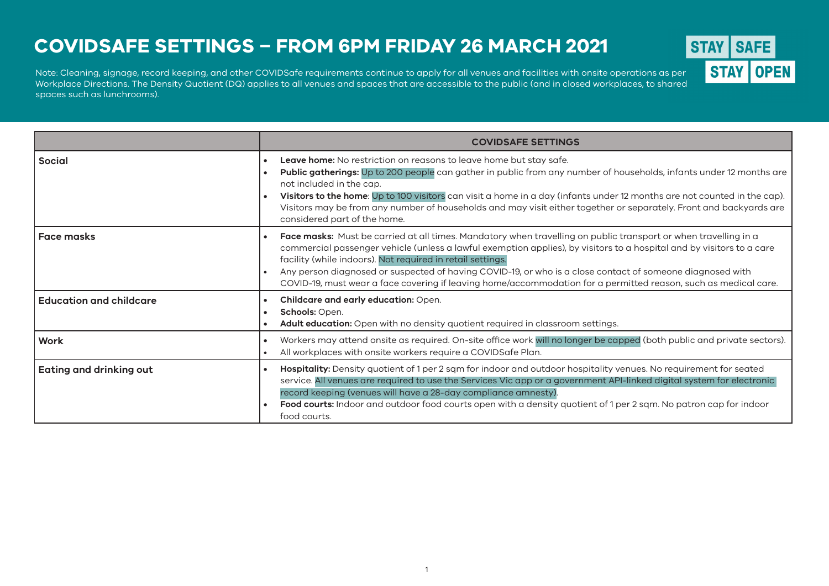## **COVIDSAFE SETTINGS – FROM 6PM FRIDAY 26 MARCH 2021**

Workplace Directions, The Density Quotient (DQ) applies to all venues and spaces that are accessible to the public (and in closed workplaces to shared  $\blacksquare$ Workplace Directions. The Density Quotient (DQ) applies to all venues and spaces that are accessible to the public (and in closed workplaces, to shared and the Density Cuchan and the Density Cuchan in the Density Cuchan in spaces such as lunchrooms). Note: Cleaning, signage, record keeping, and other COVIDSafe requirements continue to apply for all venues and facilities with onsite operations as per



**STAY**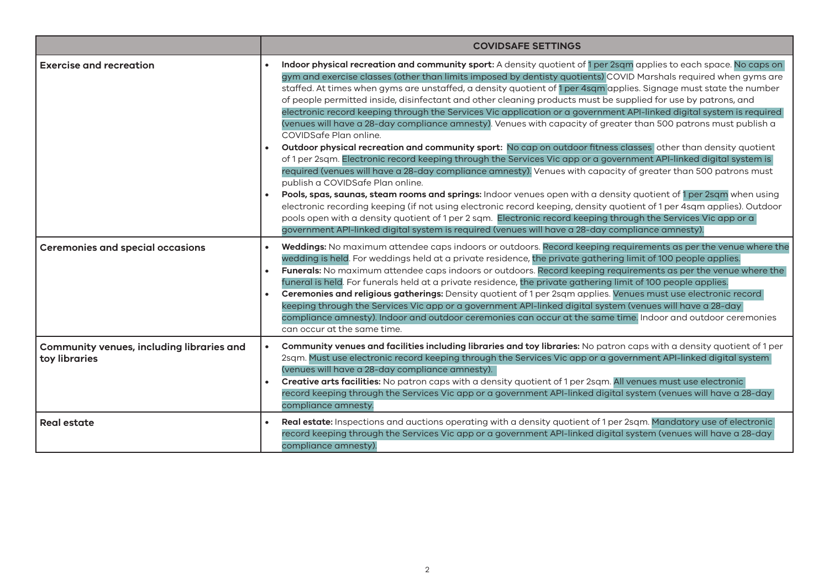|                                                                   | <b>COVIDSAFE SETTINGS</b>                                                                                                                                                                                                                                                                                                                                                                                                                                                                                                                                                                                                                                                                                                                                                                                                                                                                                                                                                                                                                                                                                                                                                                                                                                                                                                                                                                                                                                                                                                                                                                                             |  |  |
|-------------------------------------------------------------------|-----------------------------------------------------------------------------------------------------------------------------------------------------------------------------------------------------------------------------------------------------------------------------------------------------------------------------------------------------------------------------------------------------------------------------------------------------------------------------------------------------------------------------------------------------------------------------------------------------------------------------------------------------------------------------------------------------------------------------------------------------------------------------------------------------------------------------------------------------------------------------------------------------------------------------------------------------------------------------------------------------------------------------------------------------------------------------------------------------------------------------------------------------------------------------------------------------------------------------------------------------------------------------------------------------------------------------------------------------------------------------------------------------------------------------------------------------------------------------------------------------------------------------------------------------------------------------------------------------------------------|--|--|
| <b>Exercise and recreation</b>                                    | Indoor physical recreation and community sport: A density quotient of 1 per 2sqm applies to each space. No caps on<br>gym and exercise classes (other than limits imposed by dentisty quotients) COVID Marshals required when gyms are<br>staffed. At times when gyms are unstaffed, a density quotient of 1 per 4sqm applies. Signage must state the number<br>of people permitted inside, disinfectant and other cleaning products must be supplied for use by patrons, and<br>electronic record keeping through the Services Vic application or a government API-linked digital system is required<br>(venues will have a 28-day compliance amnesty). Venues with capacity of greater than 500 patrons must publish a<br>COVIDSafe Plan online.<br>Outdoor physical recreation and community sport: No cap on outdoor fitness classes other than density quotient<br>of 1 per 2sqm. Electronic record keeping through the Services Vic app or a government API-linked digital system is<br>required (venues will have a 28-day compliance amnesty). Venues with capacity of greater than 500 patrons must<br>publish a COVIDSafe Plan online.<br>Pools, spas, saunas, steam rooms and springs: Indoor venues open with a density quotient of 1 per 2sqm when using<br>electronic recording keeping (if not using electronic record keeping, density quotient of 1 per 4sqm applies). Outdoor<br>pools open with a density quotient of 1 per 2 sqm. Electronic record keeping through the Services Vic app or a<br>government API-linked digital system is required (venues will have a 28-day compliance amnesty). |  |  |
| <b>Ceremonies and special occasions</b>                           | Weddings: No maximum attendee caps indoors or outdoors. Record keeping requirements as per the venue where the<br>wedding is held. For weddings held at a private residence, the private gathering limit of 100 people applies.<br>Funerals: No maximum attendee caps indoors or outdoors. Record keeping requirements as per the venue where the<br>funeral is held. For funerals held at a private residence, the private gathering limit of 100 people applies.<br>Ceremonies and religious gatherings: Density quotient of 1 per 2sqm applies. Venues must use electronic record<br>keeping through the Services Vic app or a government API-linked digital system (venues will have a 28-day<br>compliance amnesty). Indoor and outdoor ceremonies can occur at the same time. Indoor and outdoor ceremonies<br>can occur at the same time.                                                                                                                                                                                                                                                                                                                                                                                                                                                                                                                                                                                                                                                                                                                                                                      |  |  |
| <b>Community venues, including libraries and</b><br>toy libraries | Community venues and facilities including libraries and toy libraries: No patron caps with a density quotient of 1 per<br>2sqm. Must use electronic record keeping through the Services Vic app or a government API-linked digital system<br>(venues will have a 28-day compliance amnesty).<br>Creative arts facilities: No patron caps with a density quotient of 1 per 2sqm. All venues must use electronic<br>record keeping through the Services Vic app or a government API-linked digital system (venues will have a 28-day<br>compliance amnesty.                                                                                                                                                                                                                                                                                                                                                                                                                                                                                                                                                                                                                                                                                                                                                                                                                                                                                                                                                                                                                                                             |  |  |
| <b>Real estate</b>                                                | Real estate: Inspections and auctions operating with a density quotient of 1 per 2sqm. Mandatory use of electronic<br>record keeping through the Services Vic app or a government API-linked digital system (venues will have a 28-day<br>compliance amnesty).                                                                                                                                                                                                                                                                                                                                                                                                                                                                                                                                                                                                                                                                                                                                                                                                                                                                                                                                                                                                                                                                                                                                                                                                                                                                                                                                                        |  |  |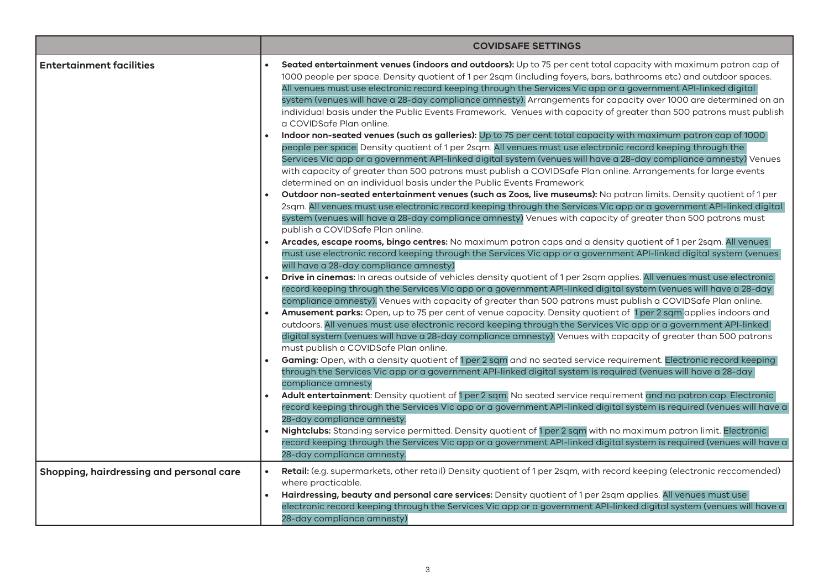|                                          | <b>COVIDSAFE SETTINGS</b>                                                                                                                                                                                                                                                                                                                                                                                                                                                                                                                                                                                                 |
|------------------------------------------|---------------------------------------------------------------------------------------------------------------------------------------------------------------------------------------------------------------------------------------------------------------------------------------------------------------------------------------------------------------------------------------------------------------------------------------------------------------------------------------------------------------------------------------------------------------------------------------------------------------------------|
| <b>Entertainment facilities</b>          | Seated entertainment venues (indoors and outdoors): Up to 75 per cent total capacity with maximum patron cap of<br>1000 people per space. Density quotient of 1 per 2sqm (including foyers, bars, bathrooms etc) and outdoor spaces.<br>All venues must use electronic record keeping through the Services Vic app or a government API-linked digital<br>system (venues will have a 28-day compliance amnesty). Arrangements for capacity over 1000 are determined on an<br>individual basis under the Public Events Framework. Venues with capacity of greater than 500 patrons must publish<br>a COVIDSafe Plan online. |
|                                          | Indoor non-seated venues (such as galleries): Up to 75 per cent total capacity with maximum patron cap of 1000<br>people per space. Density quotient of 1 per 2sqm. All venues must use electronic record keeping through the<br>Services Vic app or a government API-linked digital system (venues will have a 28-day compliance amnesty) Venues<br>with capacity of greater than 500 patrons must publish a COVIDSafe Plan online. Arrangements for large events<br>determined on an individual basis under the Public Events Framework                                                                                 |
|                                          | Outdoor non-seated entertainment venues (such as Zoos, live museums): No patron limits. Density quotient of 1 per<br>2sqm. All venues must use electronic record keeping through the Services Vic app or a government API-linked digital<br>system (venues will have a 28-day compliance amnesty) Venues with capacity of greater than 500 patrons must<br>publish a COVIDSafe Plan online.                                                                                                                                                                                                                               |
|                                          | Arcades, escape rooms, bingo centres: No maximum patron caps and a density quotient of 1 per 2sqm. All venues<br>must use electronic record keeping through the Services Vic app or a government API-linked digital system (venues<br>will have a 28-day compliance amnesty)<br>Drive in cinemas: In areas outside of vehicles density quotient of 1 per 2sqm applies. All venues must use electronic                                                                                                                                                                                                                     |
|                                          | record keeping through the Services Vic app or a government API-linked digital system (venues will have a 28-day<br>compliance amnesty). Venues with capacity of greater than 500 patrons must publish a COVIDSafe Plan online.<br>Amusement parks: Open, up to 75 per cent of venue capacity. Density quotient of 1 per 2 sqm applies indoors and<br>outdoors. All venues must use electronic record keeping through the Services Vic app or a government API-linked<br>digital system (venues will have a 28-day compliance amnesty). Venues with capacity of greater than 500 patrons                                  |
|                                          | must publish a COVIDSafe Plan online.<br>Gaming: Open, with a density quotient of 1 per 2 sqm and no seated service requirement. Electronic record keeping<br>through the Services Vic app or a government API-linked digital system is required (venues will have a 28-day<br>compliance amnesty                                                                                                                                                                                                                                                                                                                         |
|                                          | Adult entertainment: Density quotient of 1 per 2 sqm. No seated service requirement and no patron cap. Electronic<br>record keeping through the Services Vic app or a government API-linked digital system is required (venues will have a<br>28-day compliance amnesty.                                                                                                                                                                                                                                                                                                                                                  |
|                                          | Nightclubs: Standing service permitted. Density quotient of 1 per 2 sqm with no maximum patron limit. Electronic<br>record keeping through the Services Vic app or a government API-linked digital system is required (venues will have a<br>28-day compliance amnesty.                                                                                                                                                                                                                                                                                                                                                   |
| Shopping, hairdressing and personal care | Retail: (e.g. supermarkets, other retail) Density quotient of 1 per 2sqm, with record keeping (electronic reccomended)<br>where practicable.<br>Hairdressing, beauty and personal care services: Density quotient of 1 per 2sqm applies. All venues must use<br>electronic record keeping through the Services Vic app or a government API-linked digital system (venues will have a<br>28-day compliance amnesty)                                                                                                                                                                                                        |